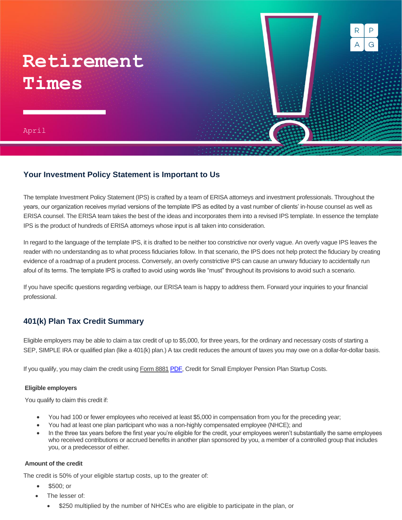# **Retirement Times**

April 2021

## **Your Investment Policy Statement is Important to Us**

The template Investment Policy Statement (IPS) is crafted by a team of ERISA attorneys and investment professionals. Throughout the years, our organization receives myriad versions of the template IPS as edited by a vast number of clients' in-house counsel as well as ERISA counsel. The ERISA team takes the best of the ideas and incorporates them into a revised IPS template. In essence the template IPS is the product of hundreds of ERISA attorneys whose input is all taken into consideration.

G

А

In regard to the language of the template IPS, it is drafted to be neither too constrictive nor overly vague. An overly vague IPS leaves the reader with no understanding as to what process fiduciaries follow. In that scenario, the IPS does not help protect the fiduciary by creating evidence of a roadmap of a prudent process. Conversely, an overly constrictive IPS can cause an unwary fiduciary to accidentally run afoul of its terms. The template IPS is crafted to avoid using words like "must" throughout its provisions to avoid such a scenario.

If you have specific questions regarding verbiage, our ERISA team is happy to address them. Forward your inquiries to your financial professional.

## **401(k) Plan Tax Credit Summary**

Eligible employers may be able to claim a tax credit of up to \$5,000, for three years, for the ordinary and necessary costs of starting a SEP, SIMPLE IRA or qualified plan (like a 401(k) plan.) A tax credit reduces the amount of taxes you may owe on a dollar-for-dollar basis.

If you qualify, you may claim the credit using Form 8881 [PDF,](https://www.irs.gov/pub/irs-pdf/f8881.pdf) Credit for Small Employer Pension Plan Startup Costs.

#### **Eligible employers**

You qualify to claim this credit if:

- You had 100 or fewer employees who received at least \$5,000 in compensation from you for the preceding year;
- You had at least one plan participant who was a non-highly compensated employee (NHCE); and
- In the three tax years before the first year you're eligible for the credit, your employees weren't substantially the same employees who received contributions or accrued benefits in another plan sponsored by you, a member of a controlled group that includes you, or a predecessor of either.

#### **Amount of the credit**

The credit is 50% of your eligible startup costs, up to the greater of:

- \$500; or
- The lesser of:
	- \$250 multiplied by the number of NHCEs who are eligible to participate in the plan, or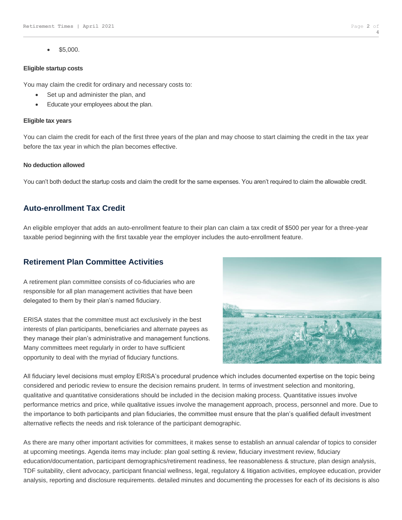• \$5,000.

#### **Eligible startup costs**

You may claim the credit for ordinary and necessary costs to:

- Set up and administer the plan, and
- Educate your employees about the plan.

#### **Eligible tax years**

You can claim the credit for each of the first three years of the plan and may choose to start claiming the credit in the tax year before the tax year in which the plan becomes effective.

#### **No deduction allowed**

You can't both deduct the startup costs and claim the credit for the same expenses. You aren't required to claim the allowable credit.

## **Auto-enrollment Tax Credit**

An eligible employer that adds an auto-enrollment feature to their plan can claim a tax credit of \$500 per year for a three-year taxable period beginning with the first taxable year the employer includes the auto-enrollment feature.

## **Retirement Plan Committee Activities**

A retirement plan committee consists of co-fiduciaries who are responsible for all plan management activities that have been delegated to them by their plan's named fiduciary.

ERISA states that the committee must act exclusively in the best interests of plan participants, beneficiaries and alternate payees as they manage their plan's administrative and management functions. Many committees meet regularly in order to have sufficient opportunity to deal with the myriad of fiduciary functions.



All fiduciary level decisions must employ ERISA's procedural prudence which includes documented expertise on the topic being considered and periodic review to ensure the decision remains prudent. In terms of investment selection and monitoring, qualitative and quantitative considerations should be included in the decision making process. Quantitative issues involve performance metrics and price, while qualitative issues involve the management approach, process, personnel and more. Due to the importance to both participants and plan fiduciaries, the committee must ensure that the plan's qualified default investment alternative reflects the needs and risk tolerance of the participant demographic.

As there are many other important activities for committees, it makes sense to establish an annual calendar of topics to consider at upcoming meetings. Agenda items may include: plan goal setting & review, fiduciary investment review, fiduciary education/documentation, participant demographics/retirement readiness, fee reasonableness & structure, plan design analysis, TDF suitability, client advocacy, participant financial wellness, legal, regulatory & litigation activities, employee education, provider analysis, reporting and disclosure requirements. detailed minutes and documenting the processes for each of its decisions is also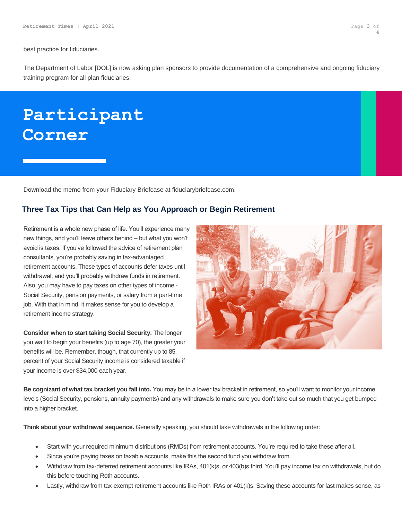best practice for fiduciaries.

The Department of Labor [DOL] is now asking plan sponsors to provide documentation of a comprehensive and ongoing fiduciary training program for all plan fiduciaries.

## **Participant Corner**

Download the memo from your Fiduciary Briefcase at fiduciarybriefcase.com.

### **Three Tax Tips that Can Help as You Approach or Begin Retirement**

Retirement is a whole new phase of life. You'll experience many new things, and you'll leave others behind – but what you won't avoid is taxes. If you've followed the advice of retirement plan consultants, you're probably saving in tax-advantaged retirement accounts. These types of accounts defer taxes until withdrawal, and you'll probably withdraw funds in retirement. Also, you may have to pay taxes on other types of income - Social Security, pension payments, or salary from a part-time job. With that in mind, it makes sense for you to develop a retirement income strategy.

**Consider when to start taking Social Security.** The longer you wait to begin your benefits (up to age 70), the greater your benefits will be. Remember, though, that currently up to 85 percent of your Social Security income is considered taxable if your income is over \$34,000 each year.



**Be cognizant of what tax bracket you fall into.** You may be in a lower tax bracket in retirement, so you'll want to monitor your income levels (Social Security, pensions, annuity payments) and any withdrawals to make sure you don't take out so much that you get bumped into a higher bracket.

**Think about your withdrawal sequence.** Generally speaking, you should take withdrawals in the following order:

- Start with your required minimum distributions (RMDs) from retirement accounts. You're required to take these after all.
- Since you're paying taxes on taxable accounts, make this the second fund you withdraw from.
- Withdraw from tax-deferred retirement accounts like IRAs, 401(k)s, or 403(b)s third. You'll pay income tax on withdrawals, but do this before touching Roth accounts.
- Lastly, withdraw from tax-exempt retirement accounts like Roth IRAs or 401(k)s. Saving these accounts for last makes sense, as